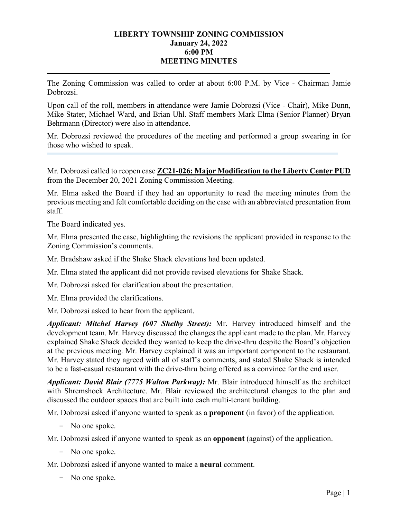## **LIBERTY TOWNSHIP ZONING COMMISSION January 24, 2022 6:00 PM MEETING MINUTES**

The Zoning Commission was called to order at about 6:00 P.M. by Vice - Chairman Jamie Dobrozsi.

Upon call of the roll, members in attendance were Jamie Dobrozsi (Vice - Chair), Mike Dunn, Mike Stater, Michael Ward, and Brian Uhl. Staff members Mark Elma (Senior Planner) Bryan Behrmann (Director) were also in attendance.

Mr. Dobrozsi reviewed the procedures of the meeting and performed a group swearing in for those who wished to speak.

Mr. Dobrozsi called to reopen case **ZC21-026: Major Modification to the Liberty Center PUD**  from the December 20, 2021 Zoning Commission Meeting.

Mr. Elma asked the Board if they had an opportunity to read the meeting minutes from the previous meeting and felt comfortable deciding on the case with an abbreviated presentation from staff.

The Board indicated yes.

Mr. Elma presented the case, highlighting the revisions the applicant provided in response to the Zoning Commission's comments.

Mr. Bradshaw asked if the Shake Shack elevations had been updated.

Mr. Elma stated the applicant did not provide revised elevations for Shake Shack.

Mr. Dobrozsi asked for clarification about the presentation.

Mr. Elma provided the clarifications.

Mr. Dobrozsi asked to hear from the applicant.

*Applicant: Mitchel Harvey (607 Shelby Street):* Mr. Harvey introduced himself and the development team. Mr. Harvey discussed the changes the applicant made to the plan. Mr. Harvey explained Shake Shack decided they wanted to keep the drive-thru despite the Board's objection at the previous meeting. Mr. Harvey explained it was an important component to the restaurant. Mr. Harvey stated they agreed with all of staff's comments, and stated Shake Shack is intended to be a fast-casual restaurant with the drive-thru being offered as a convince for the end user.

*Applicant: David Blair (7775 Walton Parkway):* Mr. Blair introduced himself as the architect with Shremshock Architecture. Mr. Blair reviewed the architectural changes to the plan and discussed the outdoor spaces that are built into each multi-tenant building.

Mr. Dobrozsi asked if anyone wanted to speak as a **proponent** (in favor) of the application.

- No one spoke.

Mr. Dobrozsi asked if anyone wanted to speak as an **opponent** (against) of the application.

- No one spoke.

Mr. Dobrozsi asked if anyone wanted to make a **neural** comment.

- No one spoke.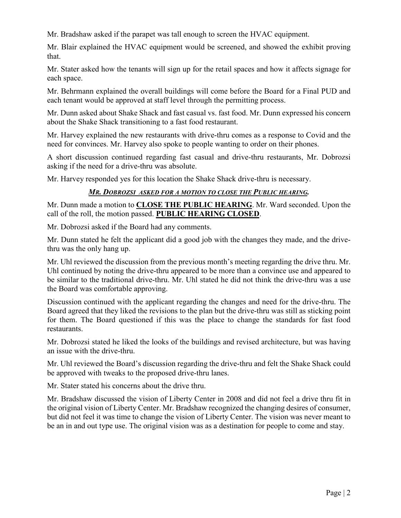Mr. Bradshaw asked if the parapet was tall enough to screen the HVAC equipment.

Mr. Blair explained the HVAC equipment would be screened, and showed the exhibit proving that.

Mr. Stater asked how the tenants will sign up for the retail spaces and how it affects signage for each space.

Mr. Behrmann explained the overall buildings will come before the Board for a Final PUD and each tenant would be approved at staff level through the permitting process.

Mr. Dunn asked about Shake Shack and fast casual vs. fast food. Mr. Dunn expressed his concern about the Shake Shack transitioning to a fast food restaurant.

Mr. Harvey explained the new restaurants with drive-thru comes as a response to Covid and the need for convinces. Mr. Harvey also spoke to people wanting to order on their phones.

A short discussion continued regarding fast casual and drive-thru restaurants, Mr. Dobrozsi asking if the need for a drive-thru was absolute.

Mr. Harvey responded yes for this location the Shake Shack drive-thru is necessary.

# *MR. DOBROZSI ASKED FOR A MOTION TO CLOSE THE PUBLIC HEARING.*

Mr. Dunn made a motion to **CLOSE THE PUBLIC HEARING**. Mr. Ward seconded. Upon the call of the roll, the motion passed. **PUBLIC HEARING CLOSED**.

Mr. Dobrozsi asked if the Board had any comments.

Mr. Dunn stated he felt the applicant did a good job with the changes they made, and the drivethru was the only hang up.

Mr. Uhl reviewed the discussion from the previous month's meeting regarding the drive thru. Mr. Uhl continued by noting the drive-thru appeared to be more than a convince use and appeared to be similar to the traditional drive-thru. Mr. Uhl stated he did not think the drive-thru was a use the Board was comfortable approving.

Discussion continued with the applicant regarding the changes and need for the drive-thru. The Board agreed that they liked the revisions to the plan but the drive-thru was still as sticking point for them. The Board questioned if this was the place to change the standards for fast food restaurants.

Mr. Dobrozsi stated he liked the looks of the buildings and revised architecture, but was having an issue with the drive-thru.

Mr. Uhl reviewed the Board's discussion regarding the drive-thru and felt the Shake Shack could be approved with tweaks to the proposed drive-thru lanes.

Mr. Stater stated his concerns about the drive thru.

Mr. Bradshaw discussed the vision of Liberty Center in 2008 and did not feel a drive thru fit in the original vision of Liberty Center. Mr. Bradshaw recognized the changing desires of consumer, but did not feel it was time to change the vision of Liberty Center. The vision was never meant to be an in and out type use. The original vision was as a destination for people to come and stay.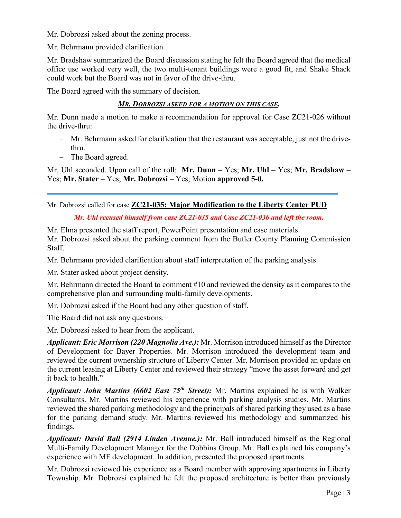Mr. Dobrozsi asked about the zoning process.

Mr. Behrmann provided clarification.

Mr. Bradshaw summarized the Board discussion stating he felt the Board agreed that the medical office use worked very well, the two multi-tenant buildings were a good fit, and Shake Shack could work but the Board was not in favor of the drive-thru.

The Board agreed with the summary of decision.

## *MR. DOBROZSI ASKED FOR A MOTION ON THIS CASE.*

Mr. Dunn made a motion to make a recommendation for approval for Case ZC21-026 without the drive-thru:

- Mr. Behrmann asked for clarification that the restaurant was acceptable, just not the drivethru.
- The Board agreed.

Mr. Uhl seconded. Upon call of the roll: **Mr. Dunn** – Yes; **Mr. Uhl** – Yes; **Mr. Bradshaw** – Yes; **Mr. Stater** – Yes; **Mr. Dobrozsi** – Yes; Motion **approved 5-0.**

Mr. Dobrozsi called for case **ZC21-035: Major Modification to the Liberty Center PUD** 

## *Mr. Uhl recused himself from case ZC21-035 and Case ZC21-036 and left the room.*

Mr. Elma presented the staff report, PowerPoint presentation and case materials. Mr. Dobrozsi asked about the parking comment from the Butler County Planning Commission Staff.

Mr. Behrmann provided clarification about staff interpretation of the parking analysis.

Mr. Stater asked about project density.

Mr. Behrmann directed the Board to comment #10 and reviewed the density as it compares to the comprehensive plan and surrounding multi-family developments.

Mr. Dobrozsi asked if the Board had any other question of staff.

The Board did not ask any questions.

Mr. Dobrozsi asked to hear from the applicant.

*Applicant: Eric Morrison (220 Magnolia Ave.):* Mr. Morrison introduced himself as the Director of Development for Bayer Properties. Mr. Morrison introduced the development team and reviewed the current ownership structure of Liberty Center. Mr. Morrison provided an update on the current leasing at Liberty Center and reviewed their strategy "move the asset forward and get it back to health."

*Applicant: John Martins (6602 East 75th Street):* Mr. Martins explained he is with Walker Consultants. Mr. Martins reviewed his experience with parking analysis studies. Mr. Martins reviewed the shared parking methodology and the principals of shared parking they used as a base for the parking demand study. Mr. Martins reviewed his methodology and summarized his findings.

*Applicant: David Ball (2914 Linden Avenue.):* Mr. Ball introduced himself as the Regional Multi-Family Development Manager for the Dobbins Group. Mr. Ball explained his company's experience with MF development. In addition, presented the proposed apartments.

Mr. Dobrozsi reviewed his experience as a Board member with approving apartments in Liberty Township. Mr. Dobrozsi explained he felt the proposed architecture is better than previously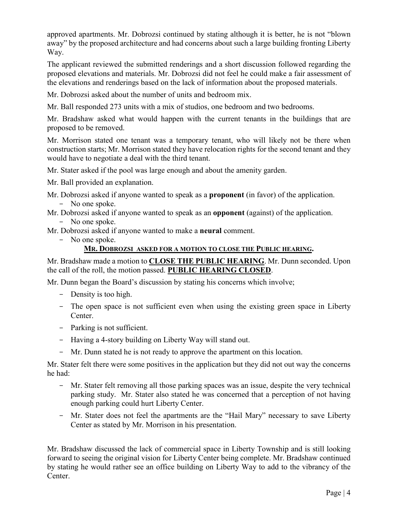approved apartments. Mr. Dobrozsi continued by stating although it is better, he is not "blown away" by the proposed architecture and had concerns about such a large building fronting Liberty Way.

The applicant reviewed the submitted renderings and a short discussion followed regarding the proposed elevations and materials. Mr. Dobrozsi did not feel he could make a fair assessment of the elevations and renderings based on the lack of information about the proposed materials.

Mr. Dobrozsi asked about the number of units and bedroom mix.

Mr. Ball responded 273 units with a mix of studios, one bedroom and two bedrooms.

Mr. Bradshaw asked what would happen with the current tenants in the buildings that are proposed to be removed.

Mr. Morrison stated one tenant was a temporary tenant, who will likely not be there when construction starts; Mr. Morrison stated they have relocation rights for the second tenant and they would have to negotiate a deal with the third tenant.

Mr. Stater asked if the pool was large enough and about the amenity garden.

Mr. Ball provided an explanation.

- Mr. Dobrozsi asked if anyone wanted to speak as a **proponent** (in favor) of the application. - No one spoke.
- Mr. Dobrozsi asked if anyone wanted to speak as an **opponent** (against) of the application.
	- No one spoke.
- Mr. Dobrozsi asked if anyone wanted to make a **neural** comment.
	- No one spoke.

### **MR. DOBROZSI ASKED FOR A MOTION TO CLOSE THE PUBLIC HEARING.**

Mr. Bradshaw made a motion to **CLOSE THE PUBLIC HEARING**. Mr. Dunn seconded. Upon the call of the roll, the motion passed. **PUBLIC HEARING CLOSED**.

Mr. Dunn began the Board's discussion by stating his concerns which involve;

- Density is too high.
- The open space is not sufficient even when using the existing green space in Liberty Center.
- Parking is not sufficient.
- Having a 4-story building on Liberty Way will stand out.
- Mr. Dunn stated he is not ready to approve the apartment on this location.

Mr. Stater felt there were some positives in the application but they did not out way the concerns he had:

- Mr. Stater felt removing all those parking spaces was an issue, despite the very technical parking study. Mr. Stater also stated he was concerned that a perception of not having enough parking could hurt Liberty Center.
- Mr. Stater does not feel the apartments are the "Hail Mary" necessary to save Liberty Center as stated by Mr. Morrison in his presentation.

Mr. Bradshaw discussed the lack of commercial space in Liberty Township and is still looking forward to seeing the original vision for Liberty Center being complete. Mr. Bradshaw continued by stating he would rather see an office building on Liberty Way to add to the vibrancy of the Center.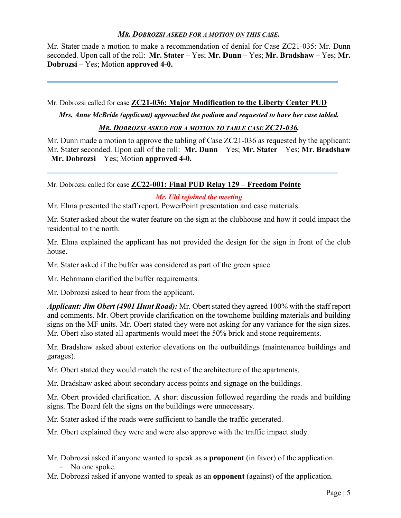## *MR. DOBROZSI ASKED FOR A MOTION ON THIS CASE.*

Mr. Stater made a motion to make a recommendation of denial for Case ZC21-035: Mr. Dunn seconded. Upon call of the roll: **Mr. Stater** – Yes; **Mr. Dunn** – Yes; **Mr. Bradshaw** – Yes; **Mr. Dobrozsi** – Yes; Motion **approved 4-0.**

Mr. Dobrozsi called for case **ZC21-036: Major Modification to the Liberty Center PUD** 

*Mrs. Anne McBride (applicant) approached the podium and requested to have her case tabled.* 

*MR. DOBROZSI ASKED FOR A MOTION TO TABLE CASE ZC21-036.*

Mr. Dunn made a motion to approve the tabling of Case ZC21-036 as requested by the applicant: Mr. Stater seconded. Upon call of the roll: **Mr. Dunn** – Yes; **Mr. Stater** – Yes; **Mr. Bradshaw** –**Mr. Dobrozsi** – Yes; Motion **approved 4-0.**

Mr. Dobrozsi called for case **ZC22-001: Final PUD Relay 129 – Freedom Pointe**

*Mr. Uhl rejoined the meeting* 

Mr. Elma presented the staff report, PowerPoint presentation and case materials.

Mr. Stater asked about the water feature on the sign at the clubhouse and how it could impact the residential to the north.

Mr. Elma explained the applicant has not provided the design for the sign in front of the club house.

Mr. Stater asked if the buffer was considered as part of the green space.

Mr. Behrmann clarified the buffer requirements.

Mr. Dobrozsi asked to hear from the applicant.

*Applicant: Jim Obert (4901 Hunt Road):* Mr. Obert stated they agreed 100% with the staff report and comments. Mr. Obert provide clarification on the townhome building materials and building signs on the MF units. Mr. Obert stated they were not asking for any variance for the sign sizes. Mr. Obert also stated all apartments would meet the 50% brick and stone requirements.

Mr. Bradshaw asked about exterior elevations on the outbuildings (maintenance buildings and garages).

Mr. Obert stated they would match the rest of the architecture of the apartments.

Mr. Bradshaw asked about secondary access points and signage on the buildings.

Mr. Obert provided clarification. A short discussion followed regarding the roads and building signs. The Board felt the signs on the buildings were unnecessary.

Mr. Stater asked if the roads were sufficient to handle the traffic generated.

Mr. Obert explained they were and were also approve with the traffic impact study.

- Mr. Dobrozsi asked if anyone wanted to speak as a **proponent** (in favor) of the application. - No one spoke.
- Mr. Dobrozsi asked if anyone wanted to speak as an **opponent** (against) of the application.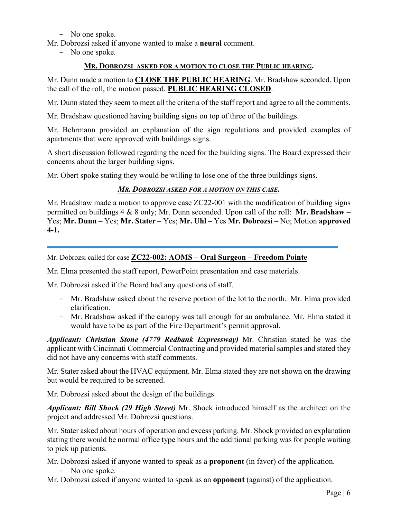- No one spoke.

Mr. Dobrozsi asked if anyone wanted to make a **neural** comment.

- No one spoke.

#### **MR. DOBROZSI ASKED FOR A MOTION TO CLOSE THE PUBLIC HEARING.**

Mr. Dunn made a motion to **CLOSE THE PUBLIC HEARING**. Mr. Bradshaw seconded. Upon the call of the roll, the motion passed. **PUBLIC HEARING CLOSED**.

Mr. Dunn stated they seem to meet all the criteria of the staff report and agree to all the comments.

Mr. Bradshaw questioned having building signs on top of three of the buildings.

Mr. Behrmann provided an explanation of the sign regulations and provided examples of apartments that were approved with buildings signs.

A short discussion followed regarding the need for the building signs. The Board expressed their concerns about the larger building signs.

Mr. Obert spoke stating they would be willing to lose one of the three buildings signs.

### *MR. DOBROZSI ASKED FOR A MOTION ON THIS CASE.*

Mr. Bradshaw made a motion to approve case ZC22-001 with the modification of building signs permitted on buildings 4 & 8 only; Mr. Dunn seconded. Upon call of the roll: **Mr. Bradshaw** – Yes; **Mr. Dunn** – Yes; **Mr. Stater** – Yes; **Mr. Uhl** – Yes **Mr. Dobrozsi** – No; Motion **approved 4-1.**

Mr. Dobrozsi called for case **ZC22-002: AOMS – Oral Surgeon – Freedom Pointe** 

Mr. Elma presented the staff report, PowerPoint presentation and case materials.

Mr. Dobrozsi asked if the Board had any questions of staff.

- Mr. Bradshaw asked about the reserve portion of the lot to the north. Mr. Elma provided clarification.
- Mr. Bradshaw asked if the canopy was tall enough for an ambulance. Mr. Elma stated it would have to be as part of the Fire Department's permit approval.

*Applicant: Christian Stone (4779 Redbank Expressway)* Mr. Christian stated he was the applicant with Cincinnati Commercial Contracting and provided material samples and stated they did not have any concerns with staff comments.

Mr. Stater asked about the HVAC equipment. Mr. Elma stated they are not shown on the drawing but would be required to be screened.

Mr. Dobrozsi asked about the design of the buildings.

*Applicant: Bill Shock (29 High Street)* Mr. Shock introduced himself as the architect on the project and addressed Mr. Dobrozsi questions.

Mr. Stater asked about hours of operation and excess parking. Mr. Shock provided an explanation stating there would be normal office type hours and the additional parking was for people waiting to pick up patients.

Mr. Dobrozsi asked if anyone wanted to speak as a **proponent** (in favor) of the application.

- No one spoke.

Mr. Dobrozsi asked if anyone wanted to speak as an **opponent** (against) of the application.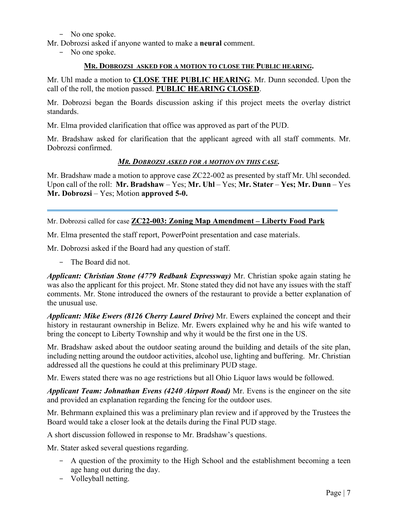## - No one spoke.

Mr. Dobrozsi asked if anyone wanted to make a **neural** comment.

- No one spoke.

#### **MR. DOBROZSI ASKED FOR A MOTION TO CLOSE THE PUBLIC HEARING.**

Mr. Uhl made a motion to **CLOSE THE PUBLIC HEARING**. Mr. Dunn seconded. Upon the call of the roll, the motion passed. **PUBLIC HEARING CLOSED**.

Mr. Dobrozsi began the Boards discussion asking if this project meets the overlay district standards.

Mr. Elma provided clarification that office was approved as part of the PUD.

Mr. Bradshaw asked for clarification that the applicant agreed with all staff comments. Mr. Dobrozsi confirmed.

### *MR. DOBROZSI ASKED FOR A MOTION ON THIS CASE.*

Mr. Bradshaw made a motion to approve case ZC22-002 as presented by staff Mr. Uhl seconded. Upon call of the roll: **Mr. Bradshaw** – Yes; **Mr. Uhl** – Yes; **Mr. Stater** – **Yes; Mr. Dunn** – Yes **Mr. Dobrozsi** – Yes; Motion **approved 5-0.**

Mr. Dobrozsi called for case **ZC22-003: Zoning Map Amendment – Liberty Food Park** 

Mr. Elma presented the staff report, PowerPoint presentation and case materials.

Mr. Dobrozsi asked if the Board had any question of staff.

- The Board did not.

*Applicant: Christian Stone (4779 Redbank Expressway)* Mr. Christian spoke again stating he was also the applicant for this project. Mr. Stone stated they did not have any issues with the staff comments. Mr. Stone introduced the owners of the restaurant to provide a better explanation of the unusual use.

*Applicant: Mike Ewers (8126 Cherry Laurel Drive)* Mr. Ewers explained the concept and their history in restaurant ownership in Belize. Mr. Ewers explained why he and his wife wanted to bring the concept to Liberty Township and why it would be the first one in the US.

Mr. Bradshaw asked about the outdoor seating around the building and details of the site plan, including netting around the outdoor activities, alcohol use, lighting and buffering. Mr. Christian addressed all the questions he could at this preliminary PUD stage.

Mr. Ewers stated there was no age restrictions but all Ohio Liquor laws would be followed.

*Applicant Team: Johnathan Evens (4240 Airport Road)* Mr. Evens is the engineer on the site and provided an explanation regarding the fencing for the outdoor uses.

Mr. Behrmann explained this was a preliminary plan review and if approved by the Trustees the Board would take a closer look at the details during the Final PUD stage.

A short discussion followed in response to Mr. Bradshaw's questions.

Mr. Stater asked several questions regarding.

- A question of the proximity to the High School and the establishment becoming a teen age hang out during the day.
- Volleyball netting.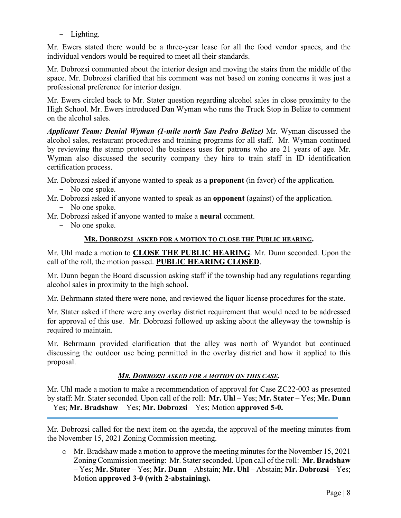- Lighting.

Mr. Ewers stated there would be a three-year lease for all the food vendor spaces, and the individual vendors would be required to meet all their standards.

Mr. Dobrozsi commented about the interior design and moving the stairs from the middle of the space. Mr. Dobrozsi clarified that his comment was not based on zoning concerns it was just a professional preference for interior design.

Mr. Ewers circled back to Mr. Stater question regarding alcohol sales in close proximity to the High School. Mr. Ewers introduced Dan Wyman who runs the Truck Stop in Belize to comment on the alcohol sales.

*Applicant Team: Denial Wyman (1-mile north San Pedro Belize)* Mr. Wyman discussed the alcohol sales, restaurant procedures and training programs for all staff. Mr. Wyman continued by reviewing the stamp protocol the business uses for patrons who are 21 years of age. Mr. Wyman also discussed the security company they hire to train staff in ID identification certification process.

Mr. Dobrozsi asked if anyone wanted to speak as a **proponent** (in favor) of the application.

- No one spoke.
- Mr. Dobrozsi asked if anyone wanted to speak as an **opponent** (against) of the application.
	- No one spoke.
- Mr. Dobrozsi asked if anyone wanted to make a **neural** comment.
	- No one spoke.

## **MR. DOBROZSI ASKED FOR A MOTION TO CLOSE THE PUBLIC HEARING.**

Mr. Uhl made a motion to **CLOSE THE PUBLIC HEARING**. Mr. Dunn seconded. Upon the call of the roll, the motion passed. **PUBLIC HEARING CLOSED**.

Mr. Dunn began the Board discussion asking staff if the township had any regulations regarding alcohol sales in proximity to the high school.

Mr. Behrmann stated there were none, and reviewed the liquor license procedures for the state.

Mr. Stater asked if there were any overlay district requirement that would need to be addressed for approval of this use. Mr. Dobrozsi followed up asking about the alleyway the township is required to maintain.

Mr. Behrmann provided clarification that the alley was north of Wyandot but continued discussing the outdoor use being permitted in the overlay district and how it applied to this proposal.

## *MR. DOBROZSI ASKED FOR A MOTION ON THIS CASE.*

Mr. Uhl made a motion to make a recommendation of approval for Case ZC22-003 as presented by staff: Mr. Stater seconded. Upon call of the roll: **Mr. Uhl** – Yes; **Mr. Stater** – Yes; **Mr. Dunn** – Yes; **Mr. Bradshaw** – Yes; **Mr. Dobrozsi** – Yes; Motion **approved 5-0.**

Mr. Dobrozsi called for the next item on the agenda, the approval of the meeting minutes from the November 15, 2021 Zoning Commission meeting.

 $\circ$  Mr. Bradshaw made a motion to approve the meeting minutes for the November 15, 2021 Zoning Commission meeting: Mr. Stater seconded. Upon call of the roll: Mr. Bradshaw – Yes; **Mr. Stater** – Yes; **Mr. Dunn** – Abstain; **Mr. Uhl** – Abstain; **Mr. Dobrozsi** – Yes; Motion **approved 3-0 (with 2-abstaining).**